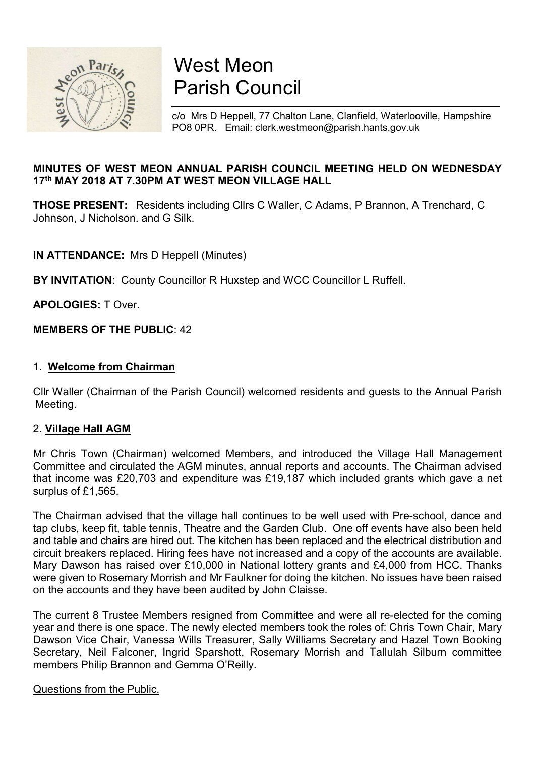

# West Meon Parish Council

c/o Mrs D Heppell, 77 Chalton Lane, Clanfield, Waterlooville, Hampshire PO8 0PR. Email: clerk.westmeon@parish.hants.gov.uk

## MINUTES OF WEST MEON ANNUAL PARISH COUNCIL MEETING HELD ON WEDNESDAY 17th MAY 2018 AT 7.30PM AT WEST MEON VILLAGE HALL

THOSE PRESENT: Residents including Cllrs C Waller, C Adams, P Brannon, A Trenchard, C Johnson, J Nicholson. and G Silk.

IN ATTENDANCE: Mrs D Heppell (Minutes)

BY INVITATION: County Councillor R Huxstep and WCC Councillor L Ruffell.

APOLOGIES: T Over.

## MEMBERS OF THE PUBLIC: 42

#### 1. Welcome from Chairman

Cllr Waller (Chairman of the Parish Council) welcomed residents and guests to the Annual Parish Meeting.

#### 2. Village Hall AGM

Mr Chris Town (Chairman) welcomed Members, and introduced the Village Hall Management Committee and circulated the AGM minutes, annual reports and accounts. The Chairman advised that income was £20,703 and expenditure was £19,187 which included grants which gave a net surplus of £1,565.

The Chairman advised that the village hall continues to be well used with Pre-school, dance and tap clubs, keep fit, table tennis, Theatre and the Garden Club. One off events have also been held and table and chairs are hired out. The kitchen has been replaced and the electrical distribution and circuit breakers replaced. Hiring fees have not increased and a copy of the accounts are available. Mary Dawson has raised over £10,000 in National lottery grants and £4,000 from HCC. Thanks were given to Rosemary Morrish and Mr Faulkner for doing the kitchen. No issues have been raised on the accounts and they have been audited by John Claisse.

The current 8 Trustee Members resigned from Committee and were all re-elected for the coming year and there is one space. The newly elected members took the roles of: Chris Town Chair, Mary Dawson Vice Chair, Vanessa Wills Treasurer, Sally Williams Secretary and Hazel Town Booking Secretary, Neil Falconer, Ingrid Sparshott, Rosemary Morrish and Tallulah Silburn committee members Philip Brannon and Gemma O'Reilly.

#### Questions from the Public.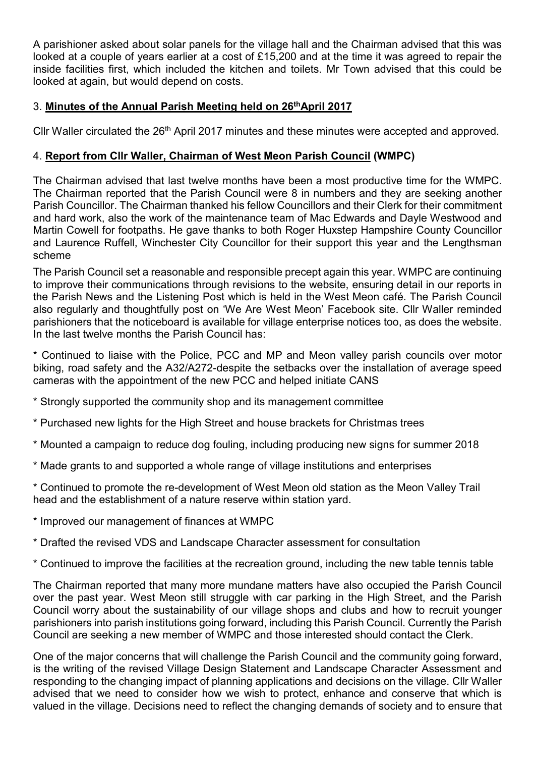A parishioner asked about solar panels for the village hall and the Chairman advised that this was looked at a couple of years earlier at a cost of £15,200 and at the time it was agreed to repair the inside facilities first, which included the kitchen and toilets. Mr Town advised that this could be looked at again, but would depend on costs.

## 3. Minutes of the Annual Parish Meeting held on 26<sup>th</sup>April 2017

Cllr Waller circulated the 26<sup>th</sup> April 2017 minutes and these minutes were accepted and approved.

# 4. Report from Cllr Waller, Chairman of West Meon Parish Council (WMPC)

The Chairman advised that last twelve months have been a most productive time for the WMPC. The Chairman reported that the Parish Council were 8 in numbers and they are seeking another Parish Councillor. The Chairman thanked his fellow Councillors and their Clerk for their commitment and hard work, also the work of the maintenance team of Mac Edwards and Dayle Westwood and Martin Cowell for footpaths. He gave thanks to both Roger Huxstep Hampshire County Councillor and Laurence Ruffell, Winchester City Councillor for their support this year and the Lengthsman scheme

The Parish Council set a reasonable and responsible precept again this year. WMPC are continuing to improve their communications through revisions to the website, ensuring detail in our reports in the Parish News and the Listening Post which is held in the West Meon café. The Parish Council also regularly and thoughtfully post on 'We Are West Meon' Facebook site. Cllr Waller reminded parishioners that the noticeboard is available for village enterprise notices too, as does the website. In the last twelve months the Parish Council has:

\* Continued to liaise with the Police, PCC and MP and Meon valley parish councils over motor biking, road safety and the A32/A272-despite the setbacks over the installation of average speed cameras with the appointment of the new PCC and helped initiate CANS

- \* Strongly supported the community shop and its management committee
- \* Purchased new lights for the High Street and house brackets for Christmas trees
- \* Mounted a campaign to reduce dog fouling, including producing new signs for summer 2018
- \* Made grants to and supported a whole range of village institutions and enterprises
- \* Continued to promote the re-development of West Meon old station as the Meon Valley Trail head and the establishment of a nature reserve within station yard.
- \* Improved our management of finances at WMPC
- \* Drafted the revised VDS and Landscape Character assessment for consultation
- \* Continued to improve the facilities at the recreation ground, including the new table tennis table

The Chairman reported that many more mundane matters have also occupied the Parish Council over the past year. West Meon still struggle with car parking in the High Street, and the Parish Council worry about the sustainability of our village shops and clubs and how to recruit younger parishioners into parish institutions going forward, including this Parish Council. Currently the Parish Council are seeking a new member of WMPC and those interested should contact the Clerk.

One of the major concerns that will challenge the Parish Council and the community going forward, is the writing of the revised Village Design Statement and Landscape Character Assessment and responding to the changing impact of planning applications and decisions on the village. Cllr Waller advised that we need to consider how we wish to protect, enhance and conserve that which is valued in the village. Decisions need to reflect the changing demands of society and to ensure that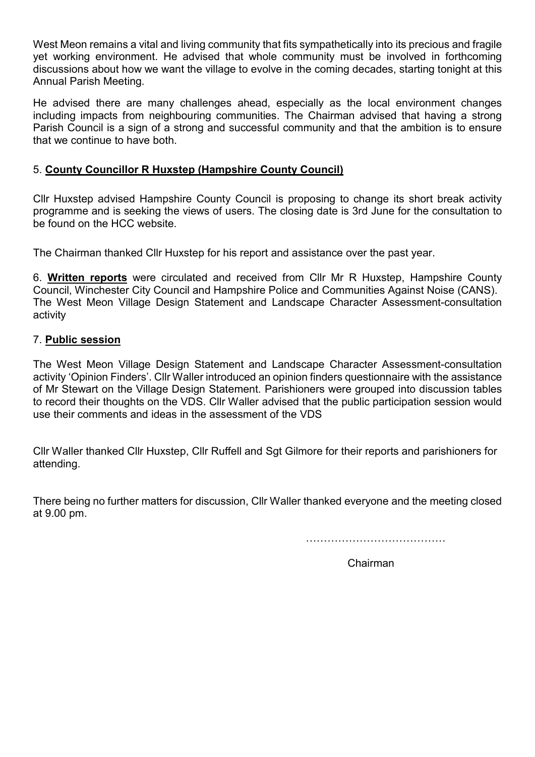West Meon remains a vital and living community that fits sympathetically into its precious and fragile yet working environment. He advised that whole community must be involved in forthcoming discussions about how we want the village to evolve in the coming decades, starting tonight at this Annual Parish Meeting.

He advised there are many challenges ahead, especially as the local environment changes including impacts from neighbouring communities. The Chairman advised that having a strong Parish Council is a sign of a strong and successful community and that the ambition is to ensure that we continue to have both.

## 5. County Councillor R Huxstep (Hampshire County Council)

Cllr Huxstep advised Hampshire County Council is proposing to change its short break activity programme and is seeking the views of users. The closing date is 3rd June for the consultation to be found on the HCC website.

The Chairman thanked Cllr Huxstep for his report and assistance over the past year.

6. Written reports were circulated and received from Cllr Mr R Huxstep, Hampshire County Council, Winchester City Council and Hampshire Police and Communities Against Noise (CANS). The West Meon Village Design Statement and Landscape Character Assessment-consultation activity

#### 7. Public session

The West Meon Village Design Statement and Landscape Character Assessment-consultation activity 'Opinion Finders'. Cllr Waller introduced an opinion finders questionnaire with the assistance of Mr Stewart on the Village Design Statement. Parishioners were grouped into discussion tables to record their thoughts on the VDS. Cllr Waller advised that the public participation session would use their comments and ideas in the assessment of the VDS

Cllr Waller thanked Cllr Huxstep, Cllr Ruffell and Sgt Gilmore for their reports and parishioners for attending.

There being no further matters for discussion, Cllr Waller thanked everyone and the meeting closed at 9.00 pm.

…………………………………

Chairman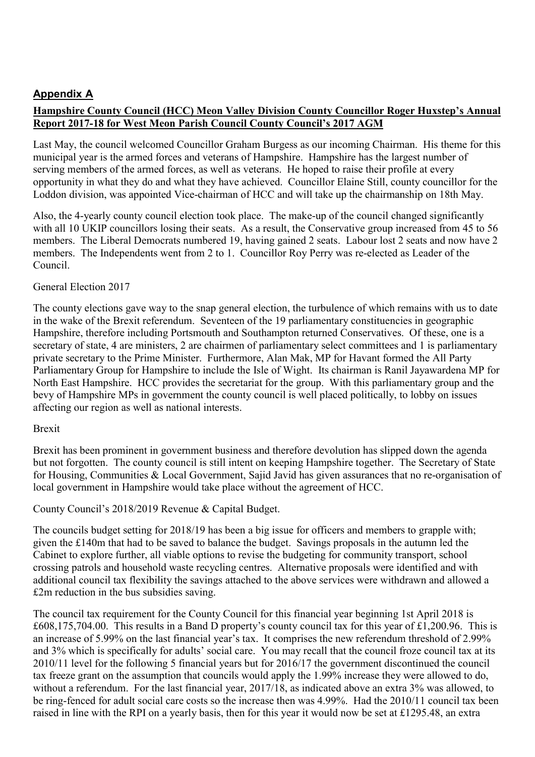# Appendix A

## Hampshire County Council (HCC) Meon Valley Division County Councillor Roger Huxstep's Annual Report 2017-18 for West Meon Parish Council County Council's 2017 AGM

Last May, the council welcomed Councillor Graham Burgess as our incoming Chairman. His theme for this municipal year is the armed forces and veterans of Hampshire. Hampshire has the largest number of serving members of the armed forces, as well as veterans. He hoped to raise their profile at every opportunity in what they do and what they have achieved. Councillor Elaine Still, county councillor for the Loddon division, was appointed Vice-chairman of HCC and will take up the chairmanship on 18th May.

Also, the 4-yearly county council election took place. The make-up of the council changed significantly with all 10 UKIP councillors losing their seats. As a result, the Conservative group increased from 45 to 56 members. The Liberal Democrats numbered 19, having gained 2 seats. Labour lost 2 seats and now have 2 members. The Independents went from 2 to 1. Councillor Roy Perry was re-elected as Leader of the Council.

#### General Election 2017

The county elections gave way to the snap general election, the turbulence of which remains with us to date in the wake of the Brexit referendum. Seventeen of the 19 parliamentary constituencies in geographic Hampshire, therefore including Portsmouth and Southampton returned Conservatives. Of these, one is a secretary of state, 4 are ministers, 2 are chairmen of parliamentary select committees and 1 is parliamentary private secretary to the Prime Minister. Furthermore, Alan Mak, MP for Havant formed the All Party Parliamentary Group for Hampshire to include the Isle of Wight. Its chairman is Ranil Jayawardena MP for North East Hampshire. HCC provides the secretariat for the group. With this parliamentary group and the bevy of Hampshire MPs in government the county council is well placed politically, to lobby on issues affecting our region as well as national interests.

#### Brexit

Brexit has been prominent in government business and therefore devolution has slipped down the agenda but not forgotten. The county council is still intent on keeping Hampshire together. The Secretary of State for Housing, Communities & Local Government, Sajid Javid has given assurances that no re-organisation of local government in Hampshire would take place without the agreement of HCC.

County Council's 2018/2019 Revenue & Capital Budget.

The councils budget setting for 2018/19 has been a big issue for officers and members to grapple with; given the £140m that had to be saved to balance the budget. Savings proposals in the autumn led the Cabinet to explore further, all viable options to revise the budgeting for community transport, school crossing patrols and household waste recycling centres. Alternative proposals were identified and with additional council tax flexibility the savings attached to the above services were withdrawn and allowed a £2m reduction in the bus subsidies saving.

The council tax requirement for the County Council for this financial year beginning 1st April 2018 is £608,175,704.00. This results in a Band D property's county council tax for this year of £1,200.96. This is an increase of 5.99% on the last financial year's tax. It comprises the new referendum threshold of 2.99% and 3% which is specifically for adults' social care. You may recall that the council froze council tax at its 2010/11 level for the following 5 financial years but for 2016/17 the government discontinued the council tax freeze grant on the assumption that councils would apply the 1.99% increase they were allowed to do, without a referendum. For the last financial year, 2017/18, as indicated above an extra 3% was allowed, to be ring-fenced for adult social care costs so the increase then was 4.99%. Had the 2010/11 council tax been raised in line with the RPI on a yearly basis, then for this year it would now be set at £1295.48, an extra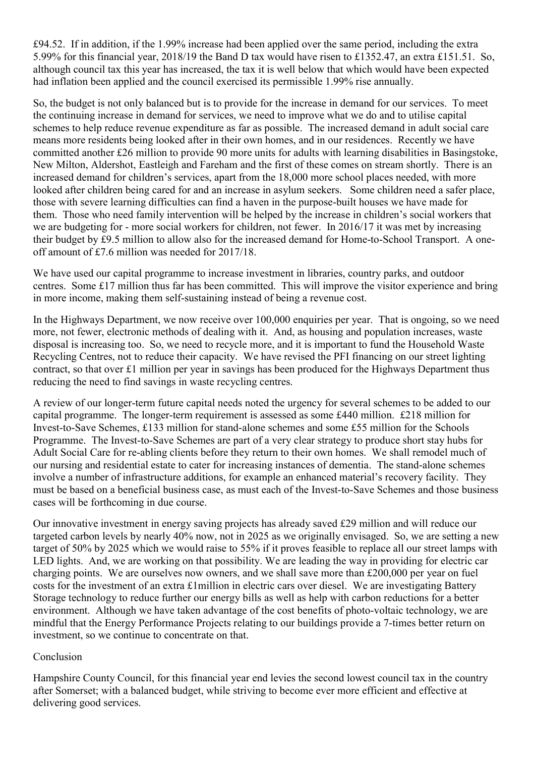£94.52. If in addition, if the 1.99% increase had been applied over the same period, including the extra 5.99% for this financial year, 2018/19 the Band D tax would have risen to £1352.47, an extra £151.51. So, although council tax this year has increased, the tax it is well below that which would have been expected had inflation been applied and the council exercised its permissible 1.99% rise annually.

So, the budget is not only balanced but is to provide for the increase in demand for our services. To meet the continuing increase in demand for services, we need to improve what we do and to utilise capital schemes to help reduce revenue expenditure as far as possible. The increased demand in adult social care means more residents being looked after in their own homes, and in our residences. Recently we have committed another £26 million to provide 90 more units for adults with learning disabilities in Basingstoke, New Milton, Aldershot, Eastleigh and Fareham and the first of these comes on stream shortly. There is an increased demand for children's services, apart from the 18,000 more school places needed, with more looked after children being cared for and an increase in asylum seekers. Some children need a safer place, those with severe learning difficulties can find a haven in the purpose-built houses we have made for them. Those who need family intervention will be helped by the increase in children's social workers that we are budgeting for - more social workers for children, not fewer. In 2016/17 it was met by increasing their budget by £9.5 million to allow also for the increased demand for Home-to-School Transport. A oneoff amount of £7.6 million was needed for 2017/18.

We have used our capital programme to increase investment in libraries, country parks, and outdoor centres. Some £17 million thus far has been committed. This will improve the visitor experience and bring in more income, making them self-sustaining instead of being a revenue cost.

In the Highways Department, we now receive over 100,000 enquiries per year. That is ongoing, so we need more, not fewer, electronic methods of dealing with it. And, as housing and population increases, waste disposal is increasing too. So, we need to recycle more, and it is important to fund the Household Waste Recycling Centres, not to reduce their capacity. We have revised the PFI financing on our street lighting contract, so that over £1 million per year in savings has been produced for the Highways Department thus reducing the need to find savings in waste recycling centres.

A review of our longer-term future capital needs noted the urgency for several schemes to be added to our capital programme. The longer-term requirement is assessed as some £440 million. £218 million for Invest-to-Save Schemes, £133 million for stand-alone schemes and some £55 million for the Schools Programme. The Invest-to-Save Schemes are part of a very clear strategy to produce short stay hubs for Adult Social Care for re-abling clients before they return to their own homes. We shall remodel much of our nursing and residential estate to cater for increasing instances of dementia. The stand-alone schemes involve a number of infrastructure additions, for example an enhanced material's recovery facility. They must be based on a beneficial business case, as must each of the Invest-to-Save Schemes and those business cases will be forthcoming in due course.

Our innovative investment in energy saving projects has already saved £29 million and will reduce our targeted carbon levels by nearly 40% now, not in 2025 as we originally envisaged. So, we are setting a new target of 50% by 2025 which we would raise to 55% if it proves feasible to replace all our street lamps with LED lights. And, we are working on that possibility. We are leading the way in providing for electric car charging points. We are ourselves now owners, and we shall save more than £200,000 per year on fuel costs for the investment of an extra £1million in electric cars over diesel. We are investigating Battery Storage technology to reduce further our energy bills as well as help with carbon reductions for a better environment. Although we have taken advantage of the cost benefits of photo-voltaic technology, we are mindful that the Energy Performance Projects relating to our buildings provide a 7-times better return on investment, so we continue to concentrate on that.

#### Conclusion

Hampshire County Council, for this financial year end levies the second lowest council tax in the country after Somerset; with a balanced budget, while striving to become ever more efficient and effective at delivering good services.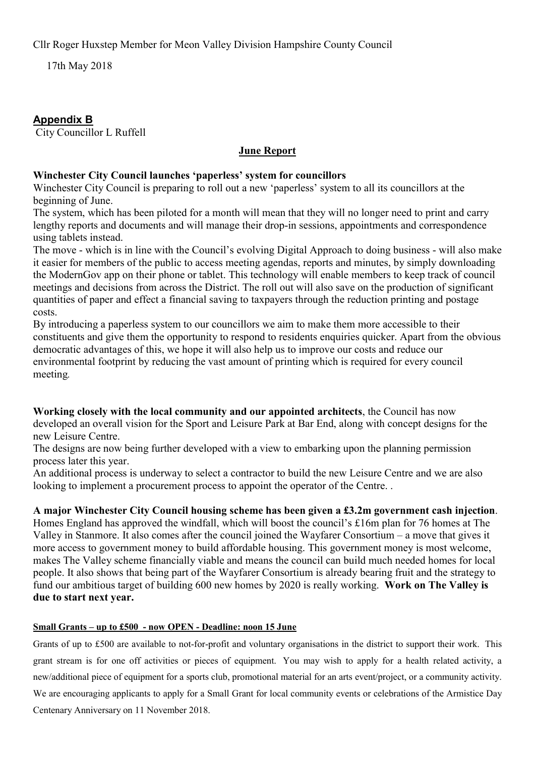Cllr Roger Huxstep Member for Meon Valley Division Hampshire County Council

17th May 2018

## Appendix B

City Councillor L Ruffell

## June Report

#### Winchester City Council launches 'paperless' system for councillors

Winchester City Council is preparing to roll out a new 'paperless' system to all its councillors at the beginning of June.

The system, which has been piloted for a month will mean that they will no longer need to print and carry lengthy reports and documents and will manage their drop-in sessions, appointments and correspondence using tablets instead.

The move - which is in line with the Council's evolving Digital Approach to doing business - will also make it easier for members of the public to access meeting agendas, reports and minutes, by simply downloading the ModernGov app on their phone or tablet. This technology will enable members to keep track of council meetings and decisions from across the District. The roll out will also save on the production of significant quantities of paper and effect a financial saving to taxpayers through the reduction printing and postage costs.

By introducing a paperless system to our councillors we aim to make them more accessible to their constituents and give them the opportunity to respond to residents enquiries quicker. Apart from the obvious democratic advantages of this, we hope it will also help us to improve our costs and reduce our environmental footprint by reducing the vast amount of printing which is required for every council meeting.

Working closely with the local community and our appointed architects, the Council has now developed an overall vision for the Sport and Leisure Park at Bar End, along with concept designs for the new Leisure Centre.

The designs are now being further developed with a view to embarking upon the planning permission process later this year.

An additional process is underway to select a contractor to build the new Leisure Centre and we are also looking to implement a procurement process to appoint the operator of the Centre...

## A major Winchester City Council housing scheme has been given a £3.2m government cash injection.

Homes England has approved the windfall, which will boost the council's £16m plan for 76 homes at The Valley in Stanmore. It also comes after the council joined the Wayfarer Consortium – a move that gives it more access to government money to build affordable housing. This government money is most welcome, makes The Valley scheme financially viable and means the council can build much needed homes for local people. It also shows that being part of the Wayfarer Consortium is already bearing fruit and the strategy to fund our ambitious target of building 600 new homes by 2020 is really working. Work on The Valley is due to start next year.

#### Small Grants – up to £500 - now OPEN - Deadline: noon 15 June

Grants of up to £500 are available to not-for-profit and voluntary organisations in the district to support their work. This grant stream is for one off activities or pieces of equipment. You may wish to apply for a health related activity, a new/additional piece of equipment for a sports club, promotional material for an arts event/project, or a community activity. We are encouraging applicants to apply for a Small Grant for local community events or celebrations of the Armistice Day Centenary Anniversary on 11 November 2018.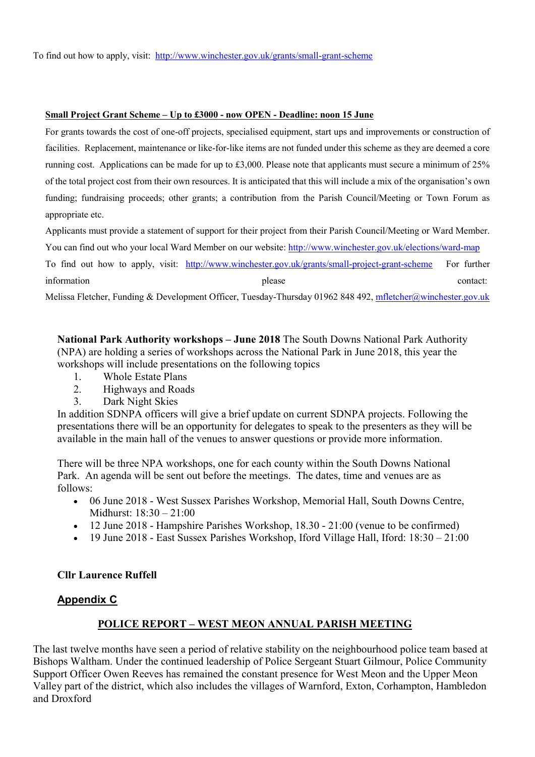#### Small Project Grant Scheme – Up to £3000 - now OPEN - Deadline: noon 15 June

For grants towards the cost of one-off projects, specialised equipment, start ups and improvements or construction of facilities. Replacement, maintenance or like-for-like items are not funded under this scheme as they are deemed a core running cost. Applications can be made for up to £3,000. Please note that applicants must secure a minimum of 25% of the total project cost from their own resources. It is anticipated that this will include a mix of the organisation's own funding; fundraising proceeds; other grants; a contribution from the Parish Council/Meeting or Town Forum as appropriate etc.

Applicants must provide a statement of support for their project from their Parish Council/Meeting or Ward Member. You can find out who your local Ward Member on our website: http://www.winchester.gov.uk/elections/ward-map To find out how to apply, visit: http://www.winchester.gov.uk/grants/small-project-grant-scheme For further information contact:  $\Box$  please contact:

Melissa Fletcher, Funding & Development Officer, Tuesday-Thursday 01962 848 492, mfletcher@winchester.gov.uk

National Park Authority workshops – June 2018 The South Downs National Park Authority (NPA) are holding a series of workshops across the National Park in June 2018, this year the workshops will include presentations on the following topics

- 1. Whole Estate Plans<br>2. Highways and Road
- 2. Highways and Roads
- 3. Dark Night Skies

In addition SDNPA officers will give a brief update on current SDNPA projects. Following the presentations there will be an opportunity for delegates to speak to the presenters as they will be available in the main hall of the venues to answer questions or provide more information.

There will be three NPA workshops, one for each county within the South Downs National Park. An agenda will be sent out before the meetings. The dates, time and venues are as follows:

- 06 June 2018 West Sussex Parishes Workshop, Memorial Hall, South Downs Centre, Midhurst: 18:30 – 21:00
- 12 June 2018 Hampshire Parishes Workshop, 18.30 21:00 (venue to be confirmed)
- $\bullet$  19 June 2018 East Sussex Parishes Workshop, Iford Village Hall, Iford: 18:30 21:00

#### Cllr Laurence Ruffell

#### Appendix C

## POLICE REPORT – WEST MEON ANNUAL PARISH MEETING

The last twelve months have seen a period of relative stability on the neighbourhood police team based at Bishops Waltham. Under the continued leadership of Police Sergeant Stuart Gilmour, Police Community Support Officer Owen Reeves has remained the constant presence for West Meon and the Upper Meon Valley part of the district, which also includes the villages of Warnford, Exton, Corhampton, Hambledon and Droxford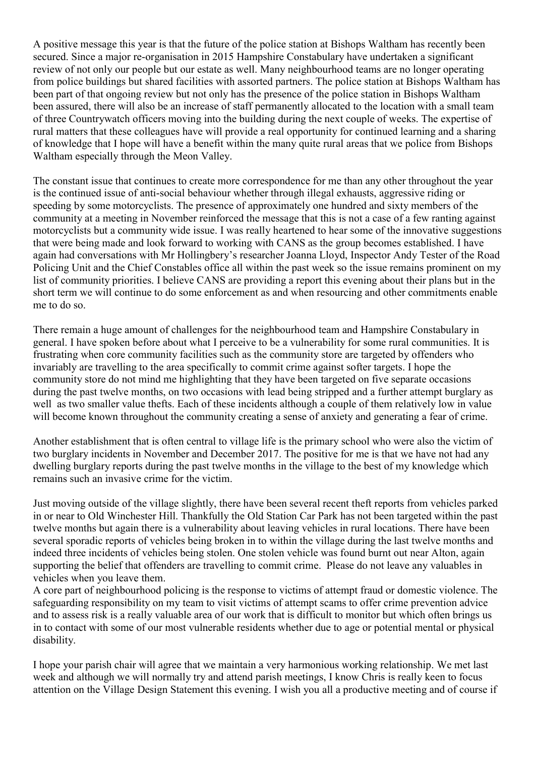A positive message this year is that the future of the police station at Bishops Waltham has recently been secured. Since a major re-organisation in 2015 Hampshire Constabulary have undertaken a significant review of not only our people but our estate as well. Many neighbourhood teams are no longer operating from police buildings but shared facilities with assorted partners. The police station at Bishops Waltham has been part of that ongoing review but not only has the presence of the police station in Bishops Waltham been assured, there will also be an increase of staff permanently allocated to the location with a small team of three Countrywatch officers moving into the building during the next couple of weeks. The expertise of rural matters that these colleagues have will provide a real opportunity for continued learning and a sharing of knowledge that I hope will have a benefit within the many quite rural areas that we police from Bishops Waltham especially through the Meon Valley.

The constant issue that continues to create more correspondence for me than any other throughout the year is the continued issue of anti-social behaviour whether through illegal exhausts, aggressive riding or speeding by some motorcyclists. The presence of approximately one hundred and sixty members of the community at a meeting in November reinforced the message that this is not a case of a few ranting against motorcyclists but a community wide issue. I was really heartened to hear some of the innovative suggestions that were being made and look forward to working with CANS as the group becomes established. I have again had conversations with Mr Hollingbery's researcher Joanna Lloyd, Inspector Andy Tester of the Road Policing Unit and the Chief Constables office all within the past week so the issue remains prominent on my list of community priorities. I believe CANS are providing a report this evening about their plans but in the short term we will continue to do some enforcement as and when resourcing and other commitments enable me to do so.

There remain a huge amount of challenges for the neighbourhood team and Hampshire Constabulary in general. I have spoken before about what I perceive to be a vulnerability for some rural communities. It is frustrating when core community facilities such as the community store are targeted by offenders who invariably are travelling to the area specifically to commit crime against softer targets. I hope the community store do not mind me highlighting that they have been targeted on five separate occasions during the past twelve months, on two occasions with lead being stripped and a further attempt burglary as well as two smaller value thefts. Each of these incidents although a couple of them relatively low in value will become known throughout the community creating a sense of anxiety and generating a fear of crime.

Another establishment that is often central to village life is the primary school who were also the victim of two burglary incidents in November and December 2017. The positive for me is that we have not had any dwelling burglary reports during the past twelve months in the village to the best of my knowledge which remains such an invasive crime for the victim.

Just moving outside of the village slightly, there have been several recent theft reports from vehicles parked in or near to Old Winchester Hill. Thankfully the Old Station Car Park has not been targeted within the past twelve months but again there is a vulnerability about leaving vehicles in rural locations. There have been several sporadic reports of vehicles being broken in to within the village during the last twelve months and indeed three incidents of vehicles being stolen. One stolen vehicle was found burnt out near Alton, again supporting the belief that offenders are travelling to commit crime. Please do not leave any valuables in vehicles when you leave them.

A core part of neighbourhood policing is the response to victims of attempt fraud or domestic violence. The safeguarding responsibility on my team to visit victims of attempt scams to offer crime prevention advice and to assess risk is a really valuable area of our work that is difficult to monitor but which often brings us in to contact with some of our most vulnerable residents whether due to age or potential mental or physical disability.

I hope your parish chair will agree that we maintain a very harmonious working relationship. We met last week and although we will normally try and attend parish meetings, I know Chris is really keen to focus attention on the Village Design Statement this evening. I wish you all a productive meeting and of course if